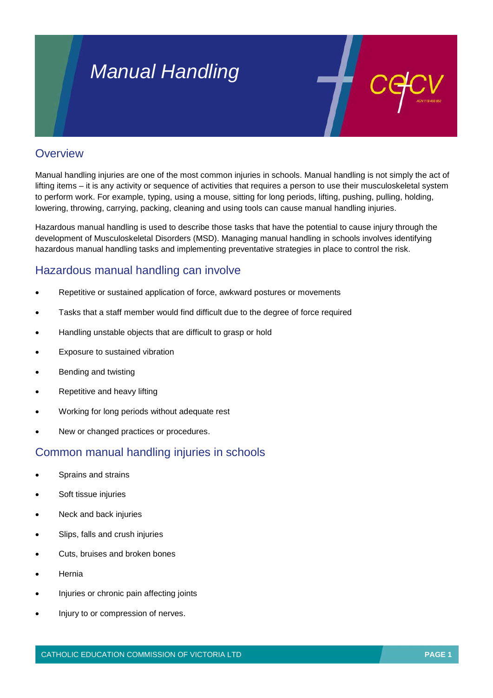# *Manual Handling*

#### **Overview**

Manual handling injuries are one of the most common injuries in schools. Manual handling is not simply the act of lifting items – it is any activity or sequence of activities that requires a person to use their musculoskeletal system to perform work. For example, typing, using a mouse, sitting for long periods, lifting, pushing, pulling, holding, lowering, throwing, carrying, packing, cleaning and using tools can cause manual handling injuries.

Hazardous manual handling is used to describe those tasks that have the potential to cause injury through the development of Musculoskeletal Disorders (MSD). Managing manual handling in schools involves identifying hazardous manual handling tasks and implementing preventative strategies in place to control the risk.

#### Hazardous manual handling can involve

- Repetitive or sustained application of force, awkward postures or movements
- Tasks that a staff member would find difficult due to the degree of force required
- Handling unstable objects that are difficult to grasp or hold
- Exposure to sustained vibration
- Bending and twisting
- Repetitive and heavy lifting
- Working for long periods without adequate rest
- New or changed practices or procedures.

#### Common manual handling injuries in schools

- Sprains and strains
- Soft tissue injuries
- Neck and back injuries
- Slips, falls and crush injuries
- Cuts, bruises and broken bones
- **Hernia**
- Injuries or chronic pain affecting joints
- Injury to or compression of nerves.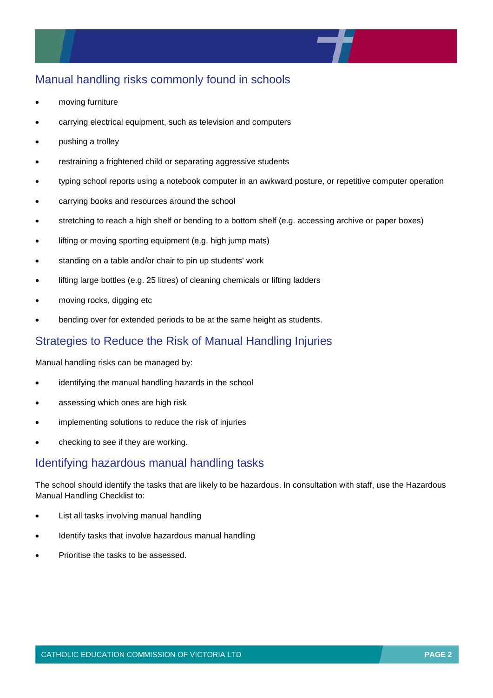## Manual handling risks commonly found in schools

- moving furniture
- carrying electrical equipment, such as television and computers
- pushing a trolley
- restraining a frightened child or separating aggressive students
- typing school reports using a notebook computer in an awkward posture, or repetitive computer operation
- carrying books and resources around the school
- stretching to reach a high shelf or bending to a bottom shelf (e.g. accessing archive or paper boxes)
- lifting or moving sporting equipment (e.g. high jump mats)
- standing on a table and/or chair to pin up students' work
- lifting large bottles (e.g. 25 litres) of cleaning chemicals or lifting ladders
- moving rocks, digging etc
- bending over for extended periods to be at the same height as students.

#### Strategies to Reduce the Risk of Manual Handling Injuries

Manual handling risks can be managed by:

- identifying the manual handling hazards in the school
- assessing which ones are high risk
- implementing solutions to reduce the risk of injuries
- checking to see if they are working.

#### Identifying hazardous manual handling tasks

The school should identify the tasks that are likely to be hazardous. In consultation with staff, use the Hazardous Manual Handling Checklist to:

- List all tasks involving manual handling
- Identify tasks that involve hazardous manual handling
- Prioritise the tasks to be assessed.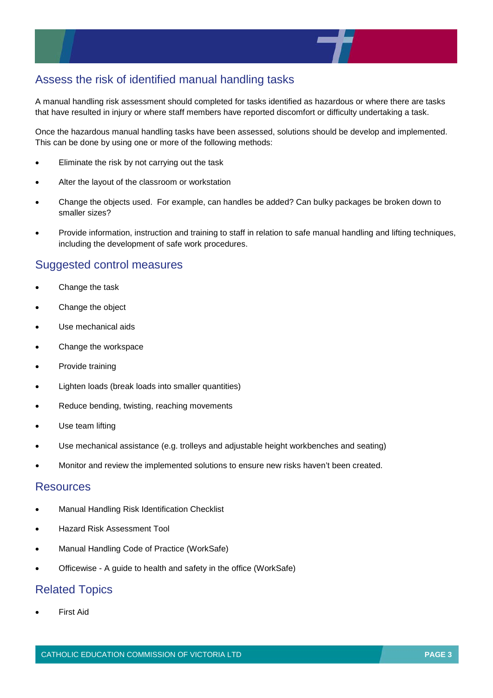## Assess the risk of identified manual handling tasks

A manual handling risk assessment should completed for tasks identified as hazardous or where there are tasks that have resulted in injury or where staff members have reported discomfort or difficulty undertaking a task.

Once the hazardous manual handling tasks have been assessed, solutions should be develop and implemented. This can be done by using one or more of the following methods:

- Eliminate the risk by not carrying out the task
- Alter the layout of the classroom or workstation
- Change the objects used. For example, can handles be added? Can bulky packages be broken down to smaller sizes?
- Provide information, instruction and training to staff in relation to safe manual handling and lifting techniques, including the development of safe work procedures.

#### Suggested control measures

- Change the task
- Change the object
- Use mechanical aids
- Change the workspace
- Provide training
- Lighten loads (break loads into smaller quantities)
- Reduce bending, twisting, reaching movements
- Use team lifting
- Use mechanical assistance (e.g. trolleys and adjustable height workbenches and seating)
- Monitor and review the implemented solutions to ensure new risks haven't been created.

#### Resources

- Manual Handling Risk Identification Checklist
- Hazard Risk Assessment Tool
- Manual Handling Code of Practice (WorkSafe)
- Officewise A guide to health and safety in the office (WorkSafe)

#### Related Topics

• First Aid